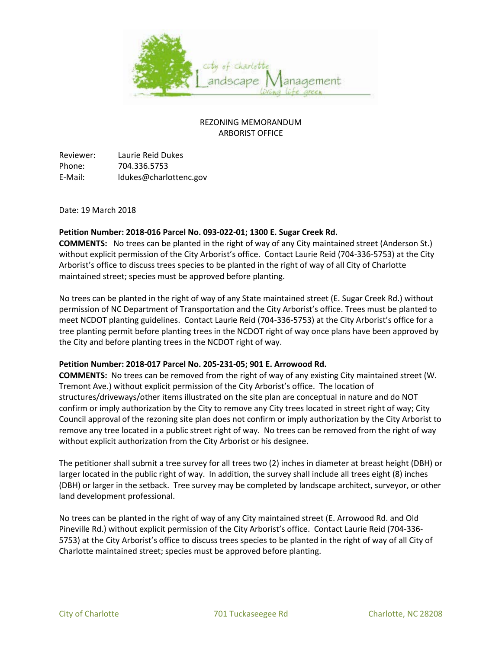

### REZONING MEMORANDUM ARBORIST OFFICE

Reviewer: Laurie Reid Dukes Phone: 704.336.5753 E-Mail: ldukes@charlottenc.gov

Date: 19 March 2018

#### **Petition Number: 2018-016 Parcel No. 093-022-01; 1300 E. Sugar Creek Rd.**

**COMMENTS:** No trees can be planted in the right of way of any City maintained street (Anderson St.) without explicit permission of the City Arborist's office. Contact Laurie Reid (704-336-5753) at the City Arborist's office to discuss trees species to be planted in the right of way of all City of Charlotte maintained street; species must be approved before planting.

No trees can be planted in the right of way of any State maintained street (E. Sugar Creek Rd.) without permission of NC Department of Transportation and the City Arborist's office. Trees must be planted to meet NCDOT planting guidelines. Contact Laurie Reid (704-336-5753) at the City Arborist's office for a tree planting permit before planting trees in the NCDOT right of way once plans have been approved by the City and before planting trees in the NCDOT right of way.

#### **Petition Number: 2018-017 Parcel No. 205-231-05; 901 E. Arrowood Rd.**

**COMMENTS:** No trees can be removed from the right of way of any existing City maintained street (W. Tremont Ave.) without explicit permission of the City Arborist's office. The location of structures/driveways/other items illustrated on the site plan are conceptual in nature and do NOT confirm or imply authorization by the City to remove any City trees located in street right of way; City Council approval of the rezoning site plan does not confirm or imply authorization by the City Arborist to remove any tree located in a public street right of way. No trees can be removed from the right of way without explicit authorization from the City Arborist or his designee.

The petitioner shall submit a tree survey for all trees two (2) inches in diameter at breast height (DBH) or larger located in the public right of way. In addition, the survey shall include all trees eight (8) inches (DBH) or larger in the setback. Tree survey may be completed by landscape architect, surveyor, or other land development professional.

No trees can be planted in the right of way of any City maintained street (E. Arrowood Rd. and Old Pineville Rd.) without explicit permission of the City Arborist's office. Contact Laurie Reid (704-336- 5753) at the City Arborist's office to discuss trees species to be planted in the right of way of all City of Charlotte maintained street; species must be approved before planting.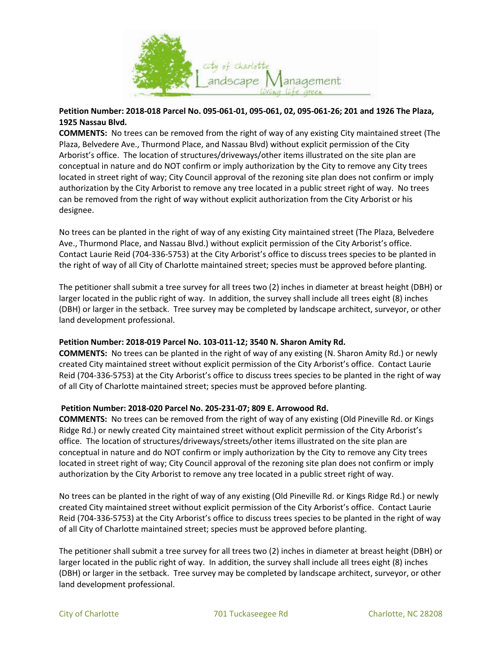

### **Petition Number: 2018-018 Parcel No. 095-061-01, 095-061, 02, 095-061-26; 201 and 1926 The Plaza, 1925 Nassau Blvd.**

**COMMENTS:** No trees can be removed from the right of way of any existing City maintained street (The Plaza, Belvedere Ave., Thurmond Place, and Nassau Blvd) without explicit permission of the City Arborist's office. The location of structures/driveways/other items illustrated on the site plan are conceptual in nature and do NOT confirm or imply authorization by the City to remove any City trees located in street right of way; City Council approval of the rezoning site plan does not confirm or imply authorization by the City Arborist to remove any tree located in a public street right of way. No trees can be removed from the right of way without explicit authorization from the City Arborist or his designee.

No trees can be planted in the right of way of any existing City maintained street (The Plaza, Belvedere Ave., Thurmond Place, and Nassau Blvd.) without explicit permission of the City Arborist's office. Contact Laurie Reid (704-336-5753) at the City Arborist's office to discuss trees species to be planted in the right of way of all City of Charlotte maintained street; species must be approved before planting.

The petitioner shall submit a tree survey for all trees two (2) inches in diameter at breast height (DBH) or larger located in the public right of way. In addition, the survey shall include all trees eight (8) inches (DBH) or larger in the setback. Tree survey may be completed by landscape architect, surveyor, or other land development professional.

### **Petition Number: 2018-019 Parcel No. 103-011-12; 3540 N. Sharon Amity Rd.**

**COMMENTS:** No trees can be planted in the right of way of any existing (N. Sharon Amity Rd.) or newly created City maintained street without explicit permission of the City Arborist's office. Contact Laurie Reid (704-336-5753) at the City Arborist's office to discuss trees species to be planted in the right of way of all City of Charlotte maintained street; species must be approved before planting.

### **Petition Number: 2018-020 Parcel No. 205-231-07; 809 E. Arrowood Rd.**

**COMMENTS:** No trees can be removed from the right of way of any existing (Old Pineville Rd. or Kings Ridge Rd.) or newly created City maintained street without explicit permission of the City Arborist's office. The location of structures/driveways/streets/other items illustrated on the site plan are conceptual in nature and do NOT confirm or imply authorization by the City to remove any City trees located in street right of way; City Council approval of the rezoning site plan does not confirm or imply authorization by the City Arborist to remove any tree located in a public street right of way.

No trees can be planted in the right of way of any existing (Old Pineville Rd. or Kings Ridge Rd.) or newly created City maintained street without explicit permission of the City Arborist's office. Contact Laurie Reid (704-336-5753) at the City Arborist's office to discuss trees species to be planted in the right of way of all City of Charlotte maintained street; species must be approved before planting.

The petitioner shall submit a tree survey for all trees two (2) inches in diameter at breast height (DBH) or larger located in the public right of way. In addition, the survey shall include all trees eight (8) inches (DBH) or larger in the setback. Tree survey may be completed by landscape architect, surveyor, or other land development professional.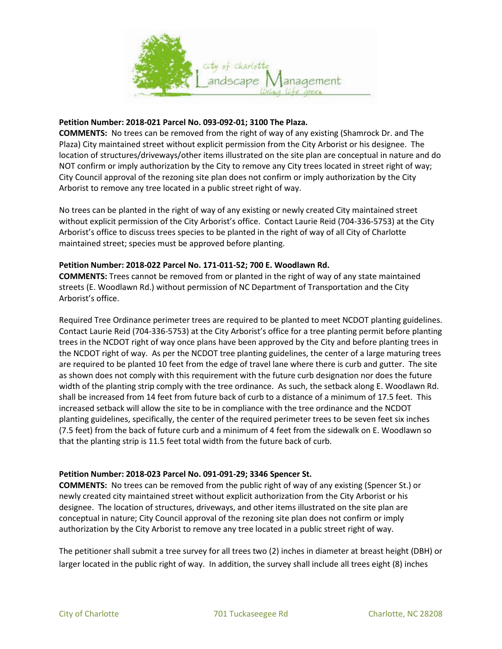

#### **Petition Number: 2018-021 Parcel No. 093-092-01; 3100 The Plaza.**

**COMMENTS:** No trees can be removed from the right of way of any existing (Shamrock Dr. and The Plaza) City maintained street without explicit permission from the City Arborist or his designee. The location of structures/driveways/other items illustrated on the site plan are conceptual in nature and do NOT confirm or imply authorization by the City to remove any City trees located in street right of way; City Council approval of the rezoning site plan does not confirm or imply authorization by the City Arborist to remove any tree located in a public street right of way.

No trees can be planted in the right of way of any existing or newly created City maintained street without explicit permission of the City Arborist's office. Contact Laurie Reid (704-336-5753) at the City Arborist's office to discuss trees species to be planted in the right of way of all City of Charlotte maintained street; species must be approved before planting.

#### **Petition Number: 2018-022 Parcel No. 171-011-52; 700 E. Woodlawn Rd.**

**COMMENTS:** Trees cannot be removed from or planted in the right of way of any state maintained streets (E. Woodlawn Rd.) without permission of NC Department of Transportation and the City Arborist's office.

Required Tree Ordinance perimeter trees are required to be planted to meet NCDOT planting guidelines. Contact Laurie Reid (704-336-5753) at the City Arborist's office for a tree planting permit before planting trees in the NCDOT right of way once plans have been approved by the City and before planting trees in the NCDOT right of way. As per the NCDOT tree planting guidelines, the center of a large maturing trees are required to be planted 10 feet from the edge of travel lane where there is curb and gutter. The site as shown does not comply with this requirement with the future curb designation nor does the future width of the planting strip comply with the tree ordinance. As such, the setback along E. Woodlawn Rd. shall be increased from 14 feet from future back of curb to a distance of a minimum of 17.5 feet. This increased setback will allow the site to be in compliance with the tree ordinance and the NCDOT planting guidelines, specifically, the center of the required perimeter trees to be seven feet six inches (7.5 feet) from the back of future curb and a minimum of 4 feet from the sidewalk on E. Woodlawn so that the planting strip is 11.5 feet total width from the future back of curb.

### **Petition Number: 2018-023 Parcel No. 091-091-29; 3346 Spencer St.**

**COMMENTS:** No trees can be removed from the public right of way of any existing (Spencer St.) or newly created city maintained street without explicit authorization from the City Arborist or his designee. The location of structures, driveways, and other items illustrated on the site plan are conceptual in nature; City Council approval of the rezoning site plan does not confirm or imply authorization by the City Arborist to remove any tree located in a public street right of way.

The petitioner shall submit a tree survey for all trees two (2) inches in diameter at breast height (DBH) or larger located in the public right of way. In addition, the survey shall include all trees eight (8) inches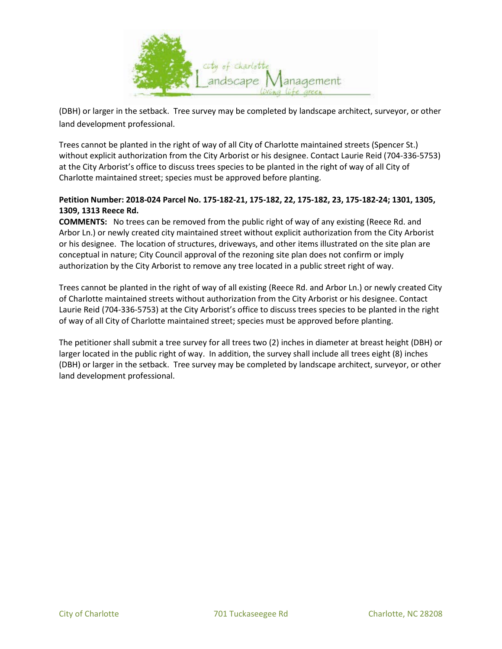

(DBH) or larger in the setback. Tree survey may be completed by landscape architect, surveyor, or other land development professional.

Trees cannot be planted in the right of way of all City of Charlotte maintained streets (Spencer St.) without explicit authorization from the City Arborist or his designee. Contact Laurie Reid (704-336-5753) at the City Arborist's office to discuss trees species to be planted in the right of way of all City of Charlotte maintained street; species must be approved before planting.

# **Petition Number: 2018-024 Parcel No. 175-182-21, 175-182, 22, 175-182, 23, 175-182-24; 1301, 1305, 1309, 1313 Reece Rd.**

**COMMENTS:** No trees can be removed from the public right of way of any existing (Reece Rd. and Arbor Ln.) or newly created city maintained street without explicit authorization from the City Arborist or his designee. The location of structures, driveways, and other items illustrated on the site plan are conceptual in nature; City Council approval of the rezoning site plan does not confirm or imply authorization by the City Arborist to remove any tree located in a public street right of way.

Trees cannot be planted in the right of way of all existing (Reece Rd. and Arbor Ln.) or newly created City of Charlotte maintained streets without authorization from the City Arborist or his designee. Contact Laurie Reid (704-336-5753) at the City Arborist's office to discuss trees species to be planted in the right of way of all City of Charlotte maintained street; species must be approved before planting.

The petitioner shall submit a tree survey for all trees two (2) inches in diameter at breast height (DBH) or larger located in the public right of way. In addition, the survey shall include all trees eight (8) inches (DBH) or larger in the setback. Tree survey may be completed by landscape architect, surveyor, or other land development professional.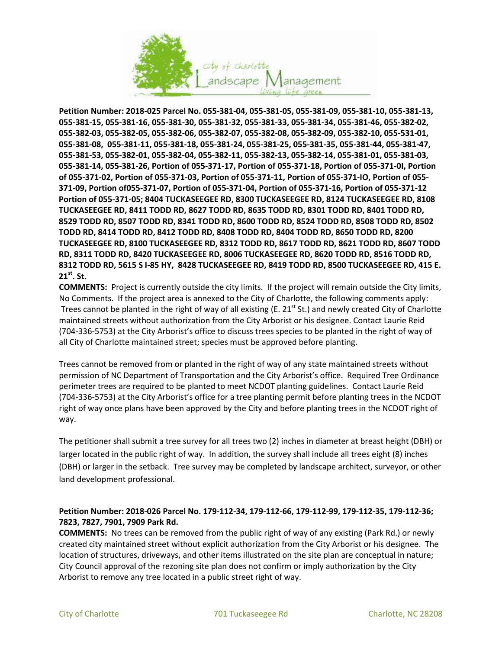

**Petition Number: 2018-025 Parcel No. 055-381-04, 055-381-05, 055-381-09, 055-381-10, 055-381-13, 055-381-15, 055-381-16, 055-381-30, 055-381-32, 055-381-33, 055-381-34, 055-381-46, 055-382-02, 055-382-03, 055-382-05, 055-382-06, 055-382-07, 055-382-08, 055-382-09, 055-382-10, 055-531-01, 055-381-08, 055-381-11, 055-381-18, 055-381-24, 055-381-25, 055-381-35, 055-381-44, 055-381-47, 055-381-53, 055-382-01, 055-382-04, 055-382-11, 055-382-13, 055-382-14, 055-381-01, 055-381-03, 055-381-14, 055-381-26, Portion of 055-371-17, Portion of 055-371-18, Portion of 055-371-0I, Portion of 055-371-02, Portion of 055-371-03, Portion of 055-371-11, Portion of 055-371-IO, Portion of 055- 371-09, Portion of055-371-07, Portion of 055-371-04, Portion of 055-371-16, Portion of 055-371-12 Portion of 055-371-05; 8404 TUCKASEEGEE RD, 8300 TUCKASEEGEE RD, 8124 TUCKASEEGEE RD, 8108 TUCKASEEGEE RD, 8411 TODD RD, 8627 TODD RD, 8635 TODD RD, 8301 TODD RD, 8401 TODD RD, 8529 TODD RD, 8507 TODD RD, 8341 TODD RD, 8600 TODD RD, 8524 TODD RD, 8508 TODD RD, 8502 TODD RD, 8414 TODD RD, 8412 TODD RD, 8408 TODD RD, 8404 TODD RD, 8650 TODD RD, 8200 TUCKASEEGEE RD, 8100 TUCKASEEGEE RD, 8312 TODD RD, 8617 TODD RD, 8621 TODD RD, 8607 TODD RD, 8311 TODD RD, 8420 TUCKASEEGEE RD, 8006 TUCKASEEGEE RD, 8620 TODD RD, 8516 TODD RD, 8312 TODD RD, 5615 S I-85 HY, 8428 TUCKASEEGEE RD, 8419 TODD RD, 8500 TUCKASEEGEE RD, 415 E. 21st. St.**

**COMMENTS:** Project is currently outside the city limits. If the project will remain outside the City limits, No Comments. If the project area is annexed to the City of Charlotte, the following comments apply: Trees cannot be planted in the right of way of all existing (E. 21 $^{\rm st}$  St.) and newly created City of Charlotte maintained streets without authorization from the City Arborist or his designee. Contact Laurie Reid (704-336-5753) at the City Arborist's office to discuss trees species to be planted in the right of way of all City of Charlotte maintained street; species must be approved before planting.

Trees cannot be removed from or planted in the right of way of any state maintained streets without permission of NC Department of Transportation and the City Arborist's office. Required Tree Ordinance perimeter trees are required to be planted to meet NCDOT planting guidelines. Contact Laurie Reid (704-336-5753) at the City Arborist's office for a tree planting permit before planting trees in the NCDOT right of way once plans have been approved by the City and before planting trees in the NCDOT right of way.

The petitioner shall submit a tree survey for all trees two (2) inches in diameter at breast height (DBH) or larger located in the public right of way. In addition, the survey shall include all trees eight (8) inches (DBH) or larger in the setback. Tree survey may be completed by landscape architect, surveyor, or other land development professional.

# **Petition Number: 2018-026 Parcel No. 179-112-34, 179-112-66, 179-112-99, 179-112-35, 179-112-36; 7823, 7827, 7901, 7909 Park Rd.**

**COMMENTS:** No trees can be removed from the public right of way of any existing (Park Rd.) or newly created city maintained street without explicit authorization from the City Arborist or his designee. The location of structures, driveways, and other items illustrated on the site plan are conceptual in nature; City Council approval of the rezoning site plan does not confirm or imply authorization by the City Arborist to remove any tree located in a public street right of way.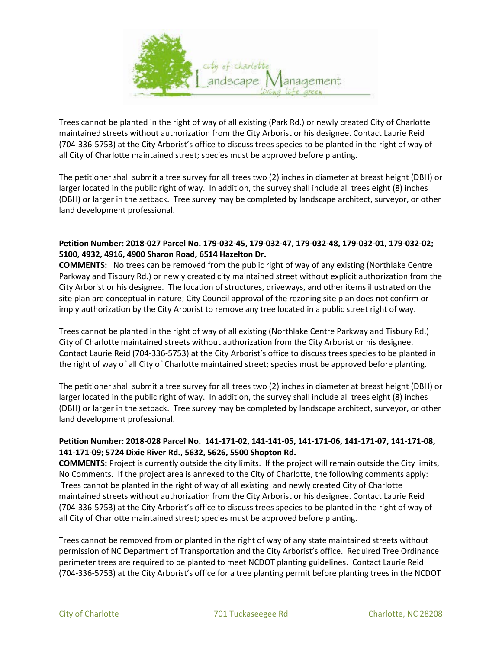

Trees cannot be planted in the right of way of all existing (Park Rd.) or newly created City of Charlotte maintained streets without authorization from the City Arborist or his designee. Contact Laurie Reid (704-336-5753) at the City Arborist's office to discuss trees species to be planted in the right of way of all City of Charlotte maintained street; species must be approved before planting.

The petitioner shall submit a tree survey for all trees two (2) inches in diameter at breast height (DBH) or larger located in the public right of way. In addition, the survey shall include all trees eight (8) inches (DBH) or larger in the setback. Tree survey may be completed by landscape architect, surveyor, or other land development professional.

### **Petition Number: 2018-027 Parcel No. 179-032-45, 179-032-47, 179-032-48, 179-032-01, 179-032-02; 5100, 4932, 4916, 4900 Sharon Road, 6514 Hazelton Dr.**

**COMMENTS:** No trees can be removed from the public right of way of any existing (Northlake Centre Parkway and Tisbury Rd.) or newly created city maintained street without explicit authorization from the City Arborist or his designee. The location of structures, driveways, and other items illustrated on the site plan are conceptual in nature; City Council approval of the rezoning site plan does not confirm or imply authorization by the City Arborist to remove any tree located in a public street right of way.

Trees cannot be planted in the right of way of all existing (Northlake Centre Parkway and Tisbury Rd.) City of Charlotte maintained streets without authorization from the City Arborist or his designee. Contact Laurie Reid (704-336-5753) at the City Arborist's office to discuss trees species to be planted in the right of way of all City of Charlotte maintained street; species must be approved before planting.

The petitioner shall submit a tree survey for all trees two (2) inches in diameter at breast height (DBH) or larger located in the public right of way. In addition, the survey shall include all trees eight (8) inches (DBH) or larger in the setback. Tree survey may be completed by landscape architect, surveyor, or other land development professional.

## **Petition Number: 2018-028 Parcel No. 141-171-02, 141-141-05, 141-171-06, 141-171-07, 141-171-08, 141-171-09; 5724 Dixie River Rd., 5632, 5626, 5500 Shopton Rd.**

**COMMENTS:** Project is currently outside the city limits. If the project will remain outside the City limits, No Comments. If the project area is annexed to the City of Charlotte, the following comments apply: Trees cannot be planted in the right of way of all existing and newly created City of Charlotte maintained streets without authorization from the City Arborist or his designee. Contact Laurie Reid (704-336-5753) at the City Arborist's office to discuss trees species to be planted in the right of way of all City of Charlotte maintained street; species must be approved before planting.

Trees cannot be removed from or planted in the right of way of any state maintained streets without permission of NC Department of Transportation and the City Arborist's office. Required Tree Ordinance perimeter trees are required to be planted to meet NCDOT planting guidelines. Contact Laurie Reid (704-336-5753) at the City Arborist's office for a tree planting permit before planting trees in the NCDOT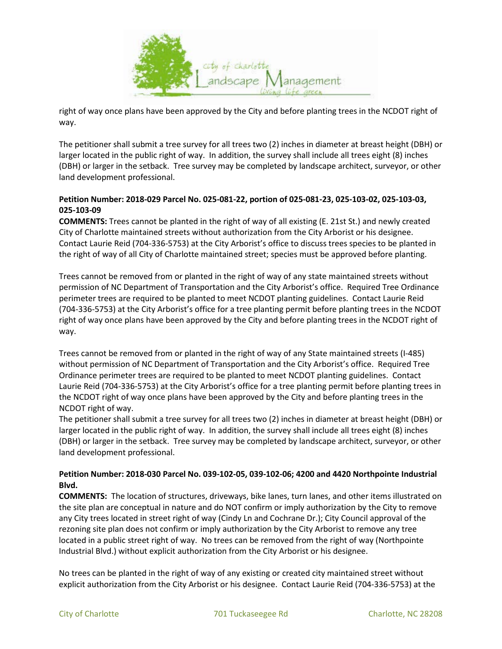

right of way once plans have been approved by the City and before planting trees in the NCDOT right of way.

The petitioner shall submit a tree survey for all trees two (2) inches in diameter at breast height (DBH) or larger located in the public right of way. In addition, the survey shall include all trees eight (8) inches (DBH) or larger in the setback. Tree survey may be completed by landscape architect, surveyor, or other land development professional.

## **Petition Number: 2018-029 Parcel No. 025-081-22, portion of 025-081-23, 025-103-02, 025-103-03, 025-103-09**

**COMMENTS:** Trees cannot be planted in the right of way of all existing (E. 21st St.) and newly created City of Charlotte maintained streets without authorization from the City Arborist or his designee. Contact Laurie Reid (704-336-5753) at the City Arborist's office to discuss trees species to be planted in the right of way of all City of Charlotte maintained street; species must be approved before planting.

Trees cannot be removed from or planted in the right of way of any state maintained streets without permission of NC Department of Transportation and the City Arborist's office. Required Tree Ordinance perimeter trees are required to be planted to meet NCDOT planting guidelines. Contact Laurie Reid (704-336-5753) at the City Arborist's office for a tree planting permit before planting trees in the NCDOT right of way once plans have been approved by the City and before planting trees in the NCDOT right of way.

Trees cannot be removed from or planted in the right of way of any State maintained streets (I-485) without permission of NC Department of Transportation and the City Arborist's office. Required Tree Ordinance perimeter trees are required to be planted to meet NCDOT planting guidelines. Contact Laurie Reid (704-336-5753) at the City Arborist's office for a tree planting permit before planting trees in the NCDOT right of way once plans have been approved by the City and before planting trees in the NCDOT right of way.

The petitioner shall submit a tree survey for all trees two (2) inches in diameter at breast height (DBH) or larger located in the public right of way. In addition, the survey shall include all trees eight (8) inches (DBH) or larger in the setback. Tree survey may be completed by landscape architect, surveyor, or other land development professional.

## **Petition Number: 2018-030 Parcel No. 039-102-05, 039-102-06; 4200 and 4420 Northpointe Industrial Blvd.**

**COMMENTS:** The location of structures, driveways, bike lanes, turn lanes, and other items illustrated on the site plan are conceptual in nature and do NOT confirm or imply authorization by the City to remove any City trees located in street right of way (Cindy Ln and Cochrane Dr.); City Council approval of the rezoning site plan does not confirm or imply authorization by the City Arborist to remove any tree located in a public street right of way. No trees can be removed from the right of way (Northpointe Industrial Blvd.) without explicit authorization from the City Arborist or his designee.

No trees can be planted in the right of way of any existing or created city maintained street without explicit authorization from the City Arborist or his designee. Contact Laurie Reid (704-336-5753) at the